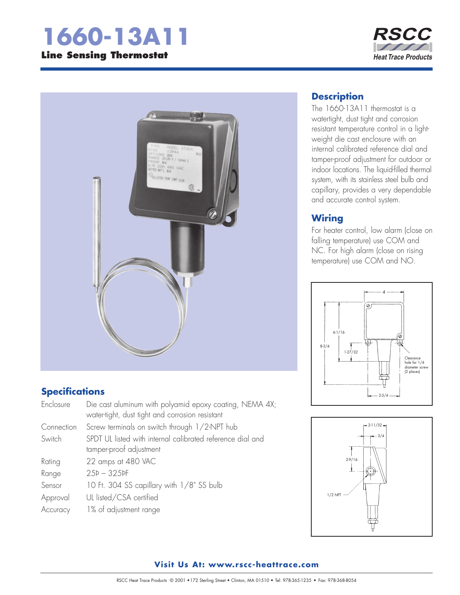# **1660-13A11 Line Sensing Thermostat**

#### **RSCC**  $\begin{array}{c} \begin{array}{c} \end{array} \end{array}$ **Heat Trace Products**



### **Specifications**

| Enclosure  | Die cast aluminum with polyamid epoxy coating, NEMA 4X;<br>water-tight, dust tight and corrosion resistant |
|------------|------------------------------------------------------------------------------------------------------------|
| Connection | Screw terminals on switch through 1/2-NPT hub                                                              |
| Switch     | SPDT UL listed with internal calibrated reference dial and                                                 |
|            | tamper-proof adjustment                                                                                    |
| Rating     | 22 amps at 480 VAC                                                                                         |
| Range      | $25P - 325P$                                                                                               |
| Sensor     | 10 Ft. 304 SS capillary with 1/8" SS bulb                                                                  |
| Approval   | UL listed/CSA certified                                                                                    |
| Accuracy   | 1% of adjustment range                                                                                     |

## **Description**

The 1660-13A11 thermostat is a watertight, dust tight and corrosion resistant temperature control in a lightweight die cast enclosure with an internal calibrated reference dial and tamper-proof adjustment for outdoor or indoor locations. The liquid-filled thermal system, with its stainless steel bulb and capillary, provides a very dependable and accurate control system.

#### **Wiring**

For heater control, low alarm (close on falling temperature) use COM and NC. For high alarm (close on rising temperature) use COM and NO.





#### **Visit Us At: www.rscc-heattrace.com**